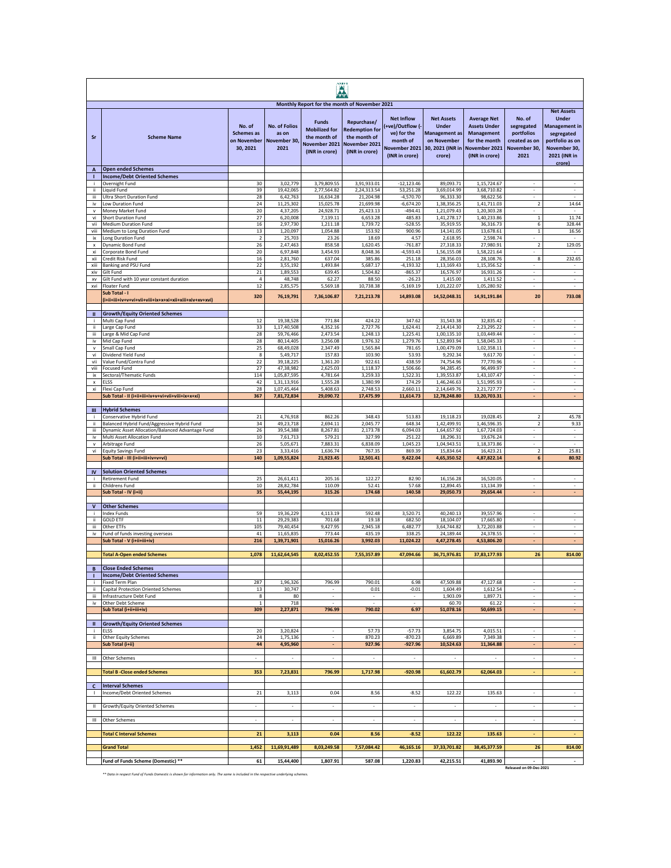| AMFI                           |                                                                                 |                                                        |                                                       |                                                                                         |                                                                                         |                                                                                |                                                                                   |                                                                                              |                                                                   |                                                                                                 |
|--------------------------------|---------------------------------------------------------------------------------|--------------------------------------------------------|-------------------------------------------------------|-----------------------------------------------------------------------------------------|-----------------------------------------------------------------------------------------|--------------------------------------------------------------------------------|-----------------------------------------------------------------------------------|----------------------------------------------------------------------------------------------|-------------------------------------------------------------------|-------------------------------------------------------------------------------------------------|
|                                |                                                                                 |                                                        |                                                       | Monthly Report for the month of November 2021                                           |                                                                                         | <b>Net Inflow</b>                                                              | <b>Net Assets</b>                                                                 | <b>Average Net</b>                                                                           | No. of                                                            | <b>Net Assets</b><br><b>Under</b>                                                               |
| Sr                             | <b>Scheme Name</b>                                                              | No. of<br><b>Schemes</b> as<br>on November<br>30, 2021 | <b>No. of Folios</b><br>as on<br>November 30,<br>2021 | <b>Funds</b><br><b>Mobilized for</b><br>the month of<br>November 2021<br>(INR in crore) | Repurchase/<br><b>Redemption for</b><br>the month of<br>November 2021<br>(INR in crore) | (+ve)/Outflow (-<br>ve) for the<br>month of<br>November 2021<br>(INR in crore) | <b>Under</b><br><b>Management</b> as<br>on November<br>30, 2021 (INR in<br>crore) | <b>Assets Under</b><br><b>Management</b><br>for the month<br>November 2021<br>(INR in crore) | segregated<br>portfolios<br>created as on<br>November 30,<br>2021 | <b>Management in</b><br>segregated<br>portfolio as on<br>November 30,<br>2021 (INR in<br>crore) |
| $\boldsymbol{\mathsf{A}}$<br>п | <b>Open ended Schemes</b><br><b>Income/Debt Oriented Schemes</b>                |                                                        |                                                       |                                                                                         |                                                                                         |                                                                                |                                                                                   |                                                                                              |                                                                   |                                                                                                 |
| j.                             | Overnight Fund                                                                  | 30                                                     | 3,02,779                                              | 3,79,809.55                                                                             | 3,91,933.01                                                                             | $-12,123.46$                                                                   | 89.093.71                                                                         | 1,15,724.67                                                                                  |                                                                   |                                                                                                 |
| ij.<br>iii                     | Liquid Fund<br>Ultra Short Duration Fund                                        | 39<br>28                                               | 19,42,065<br>6,42,763                                 | 2.77.564.82<br>16,634.28                                                                | 2,24,313.54<br>21,204.98                                                                | 53,251.28<br>$-4,570.70$                                                       | 3,69,014.99<br>96,333.30                                                          | 3.68.710.82<br>98,622.56                                                                     |                                                                   | ٠                                                                                               |
| iv                             | Low Duration Fund                                                               | 24                                                     | 11,25,302                                             | 15,025.78                                                                               | 21,699.98                                                                               | $-6,674.20$                                                                    | 1,38,356.25                                                                       | 1,41,711.03                                                                                  | 2                                                                 | 14.64                                                                                           |
| v<br>vi                        | Money Market Fund<br>Short Duration Fund                                        | 20<br>27                                               | 4,37,205<br>6,20,008                                  | 24,928.71<br>7,139.11                                                                   | 25,423.13<br>6,653.28                                                                   | $-494.41$<br>485.83                                                            | 1,21,079.43<br>1,41,278.17                                                        | 1,20,303.28<br>1,40,233.86                                                                   | $\sim$<br>$\,1$                                                   | $\overline{\phantom{a}}$<br>11.74                                                               |
| vii                            | <b>Medium Duration Fund</b>                                                     | 16                                                     | 2,97,730                                              | 1,211.18                                                                                | 1,739.72                                                                                | $-528.55$                                                                      | 35,919.55                                                                         | 36,316.73                                                                                    | 6                                                                 | 328.44                                                                                          |
| viii<br>ix                     | Medium to Long Duration Fund<br>Long Duration Fund                              | 13<br>$\mathbf 2$                                      | 1,20,097<br>25,703                                    | 1,054.88<br>23.26                                                                       | 153.92<br>18.69                                                                         | 900.96<br>4.57                                                                 | 14,141.05<br>2,618.95                                                             | 13,678.61<br>2,598.74                                                                        | $\mathbf 1$                                                       | 16.56                                                                                           |
| $\pmb{\mathsf{x}}$             | Dynamic Bond Fund                                                               | 26                                                     | 2,47,463                                              | 858.58                                                                                  | 1,620.45                                                                                | $-761.87$                                                                      | 27,318.33                                                                         | 27,980.91                                                                                    | $\overline{2}$                                                    | 129.05                                                                                          |
| xi                             | Corporate Bond Fund                                                             | 20<br>16                                               | 6,97,848                                              | 3,454.93                                                                                | 8,048.36<br>385.86                                                                      | $-4,593.43$                                                                    | 1,56,155.08                                                                       | 1,58,221.64                                                                                  | 8                                                                 |                                                                                                 |
| xii<br>xiii                    | Credit Risk Fund<br>Banking and PSU Fund                                        | 22                                                     | 2,81,760<br>3,55,192                                  | 637.04<br>1,493.84                                                                      | 5,687.17                                                                                | 251.18<br>$-4, 193.32$                                                         | 28,356.03<br>1,13,169.43                                                          | 28,108.76<br>1,15,356.52                                                                     |                                                                   | 232.65                                                                                          |
| xiv                            | Gilt Fund                                                                       | $\bf 21$                                               | 1,89,553                                              | 639.45                                                                                  | 1,504.82                                                                                | $-865.37$                                                                      | 16,576.97                                                                         | 16,931.26                                                                                    |                                                                   | $\overline{\phantom{a}}$                                                                        |
| XV<br>xvi                      | Gilt Fund with 10 year constant duration<br>Floater Fund                        | $\overline{4}$<br>12                                   | 48,748<br>2,85,575                                    | 62.27<br>5,569.18                                                                       | 88.50<br>10,738.38                                                                      | $-26.23$<br>$-5,169.19$                                                        | 1,415.00<br>1,01,222.07                                                           | 1,411.52<br>1,05,280.92                                                                      | $\overline{\phantom{a}}$<br>$\overline{\phantom{a}}$              | $\overline{\phantom{a}}$<br>$\sim$                                                              |
|                                | Sub Total - I                                                                   | 320                                                    | 76,19,791                                             | 7,36,106.87                                                                             | 7,21,213.78                                                                             | 14,893.08                                                                      | 14,52,048.31                                                                      | 14,91,191.84                                                                                 | 20                                                                | 733.08                                                                                          |
| Ш                              | <b>Growth/Equity Oriented Schemes</b>                                           |                                                        |                                                       |                                                                                         |                                                                                         |                                                                                |                                                                                   |                                                                                              |                                                                   |                                                                                                 |
| ÷                              | Multi Cap Fund                                                                  | 12<br>33                                               | 19,38,528<br>1,17,40,508                              | 771.84<br>4,352.16                                                                      | 424.22<br>2,727.76                                                                      | 347.62<br>1,624.41                                                             | 31,543.38<br>2,14,414.30                                                          | 32,835.42<br>2,23,295.22                                                                     | $\sim$<br>$\sim$                                                  | $\sim$<br>$\sim$                                                                                |
| ï<br>iii                       | Large Cap Fund<br>Large & Mid Cap Fund                                          | 28                                                     | 59,76,466                                             | 2,473.54                                                                                | 1,248.13                                                                                | 1,225.41                                                                       | 1,00,135.10                                                                       | 1,03,449.44                                                                                  |                                                                   |                                                                                                 |
| iv                             | Mid Cap Fund                                                                    | 28                                                     | 80,14,405                                             | 3,256.08                                                                                | 1,976.32                                                                                | 1,279.76                                                                       | 1,52,893.94                                                                       | 1,58,045.33                                                                                  |                                                                   |                                                                                                 |
| $\mathsf{v}$<br>vi             | Small Cap Fund<br>Dividend Yield Fund                                           | 25<br>8                                                | 68,49,028<br>5,49,717                                 | 2,347.49<br>157.83                                                                      | 1,565.84<br>103.90                                                                      | 781.65<br>53.93                                                                | 1,00,479.09<br>9,292.34                                                           | 1,02,358.11<br>9,617.70                                                                      | $\overline{\phantom{a}}$                                          | $\overline{\phantom{a}}$                                                                        |
| vii                            | Value Fund/Contra Fund                                                          | $22\,$                                                 | 39,18,225                                             | 1,361.20                                                                                | 922.61                                                                                  | 438.59                                                                         | 74,754.96                                                                         | 77,770.96                                                                                    | $\overline{\phantom{a}}$                                          | $\sim$                                                                                          |
| viii<br>ix                     | <b>Focused Fund</b><br>Sectoral/Thematic Funds                                  | $27\,$<br>114                                          | 47,38,982<br>1,05,87,595                              | 2,625.03<br>4,781.64                                                                    | 1,118.37<br>3,259.33                                                                    | 1,506.66<br>1,522.31                                                           | 94,285.45<br>1,39,553.87                                                          | 96,499.97<br>1,43,107.47                                                                     | $\overline{\phantom{a}}$<br>$\overline{\phantom{a}}$              | $\cdot$<br>$\overline{\phantom{a}}$                                                             |
| $\boldsymbol{\mathsf{x}}$      | ELSS                                                                            | 42                                                     | 1,31,13,916                                           | 1,555.28                                                                                | 1,380.99                                                                                | 174.29                                                                         | 1,46,246.63                                                                       | 1,51,995.93                                                                                  | $\overline{\phantom{a}}$                                          | $\overline{\phantom{a}}$                                                                        |
| xi                             | Flexi Cap Fund<br>Sub Total - II (i+ii+iii+iv+v+vi+vii+viii+ix+x+xi)            | 28<br>367                                              | 1,07,45,464<br>7,81,72,834                            | 5,408.63<br>29,090.72                                                                   | 2.748.53<br>17,475.99                                                                   | 2,660.11<br>11,614.73                                                          | 2,14,649.76<br>12,78,248.80                                                       | 2,21,727.77<br>13,20,703.31                                                                  | ÷.<br>÷.                                                          | ×<br>÷.                                                                                         |
|                                |                                                                                 |                                                        |                                                       |                                                                                         |                                                                                         |                                                                                |                                                                                   |                                                                                              |                                                                   |                                                                                                 |
| Ш                              | <b>Hybrid Schemes</b><br>Conservative Hybrid Fund                               | 21                                                     | 4,76,918                                              | 862.26                                                                                  | 348.43                                                                                  | 513.83                                                                         | 19,118.23                                                                         | 19,028.45                                                                                    | $\overline{2}$                                                    | 45.78                                                                                           |
| ii.                            | Balanced Hybrid Fund/Aggressive Hybrid Fund                                     | 34                                                     | 49,23,718                                             | 2,694.11                                                                                | 2,045.77                                                                                | 648.34                                                                         | 1,42,499.91                                                                       | 1,46,596.35                                                                                  | $\mathbf 2$                                                       | 9.33                                                                                            |
| iii<br>iv                      | Dynamic Asset Allocation/Balanced Advantage Fund<br>Multi Asset Allocation Fund | 26<br>10                                               | 39,54,388<br>7,61,713                                 | 8,267.81<br>579.21                                                                      | 2,173.78<br>327.99                                                                      | 6,094.03<br>251.22                                                             | 1,64,657.92<br>18,296.31                                                          | 1,67,724.03<br>19,676.24                                                                     | $\overline{\phantom{a}}$<br>$\overline{\phantom{a}}$              | $\overline{\phantom{a}}$<br>$\overline{\phantom{a}}$                                            |
| $\mathsf{V}$                   | Arbitrage Fund                                                                  | 26                                                     | 5,05,671                                              | 7,883.31                                                                                | 6,838.09                                                                                | 1,045.23                                                                       | 1,04,943.51                                                                       | 1,18,373.86                                                                                  | $\overline{\phantom{a}}$                                          | $\sim$                                                                                          |
| vi                             | <b>Equity Savings Fund</b><br>Sub Total - III (i+ii+iii+iv+v+vi)                | 23<br>140                                              | 3,33,416<br>1,09,55,824                               | 1,636.74<br>21,923.45                                                                   | 767.35<br>12,501.41                                                                     | 869.39<br>9,422.04                                                             | 15,834.64<br>4,65,350.52                                                          | 16,423.21<br>4,87,822.14                                                                     | $\overline{2}$<br>6                                               | 25.81<br>80.92                                                                                  |
|                                |                                                                                 |                                                        |                                                       |                                                                                         |                                                                                         |                                                                                |                                                                                   |                                                                                              |                                                                   |                                                                                                 |
| IV                             | <b>Solution Oriented Schemes</b><br><b>Retirement Fund</b>                      | 25                                                     | 26,61,411                                             | 205.16                                                                                  | 122.27                                                                                  | 82.90                                                                          | 16,156.28                                                                         | 16,520.05                                                                                    |                                                                   | ٠                                                                                               |
| ï                              | Childrens Fund                                                                  | 10                                                     | 28,82,784                                             | 110.09                                                                                  | 52.41                                                                                   | 57.68                                                                          | 12,894.45                                                                         | 13,134.39                                                                                    |                                                                   |                                                                                                 |
|                                | Sub Total - IV (i+ii)                                                           | 35                                                     | 55,44,195                                             | 315.26                                                                                  | 174.68                                                                                  | 140.58                                                                         | 29,050.73                                                                         | 29,654.44                                                                                    |                                                                   | ٠                                                                                               |
| V                              | <b>Other Schemes</b>                                                            |                                                        |                                                       |                                                                                         |                                                                                         |                                                                                |                                                                                   |                                                                                              |                                                                   |                                                                                                 |
| j.<br>ji.                      | <b>Index Funds</b><br><b>GOLD ETF</b>                                           | 59<br>$11\,$                                           | 19,36,229<br>29,29,383                                | 4,113.19<br>701.68                                                                      | 592.48<br>19.18                                                                         | 3,520.71<br>682.50                                                             | 40,240.13<br>18,104.07                                                            | 39,557.96<br>17,665.80                                                                       | $\overline{\phantom{a}}$<br>$\sim$                                | $\sim$<br>$\overline{\phantom{a}}$                                                              |
| iii                            | Other ETFs                                                                      | 105                                                    | 79,40,454                                             | 9,427.95                                                                                | 2,945.18                                                                                | 6.482.77                                                                       | 3,64,744.82                                                                       | 3,72,203.88                                                                                  | $\bar{a}$                                                         | $\sim$                                                                                          |
| iv                             | Fund of funds investing overseas                                                | 41                                                     | 11,65,835                                             | 773.44                                                                                  | 435.19                                                                                  | 338.25                                                                         | 24,189.44                                                                         | 24.378.55                                                                                    | ÷.                                                                | ×<br>÷.                                                                                         |
|                                | Sub Total - V (i+ii+iii+iv)                                                     | 216                                                    | 1,39,71,901                                           | 15,016.26                                                                               | 3,992.03                                                                                | 11,024.22                                                                      | 4,47,278.45                                                                       | 4,53,806.20                                                                                  |                                                                   |                                                                                                 |
|                                | <b>Total A-Open ended Schemes</b>                                               | 1,078                                                  | 11,62,64,545                                          | 8,02,452.55                                                                             | 7,55,357.89                                                                             | 47,094.66                                                                      | 36,71,976.81                                                                      | 37,83,177.93                                                                                 | 26                                                                | 814.00                                                                                          |
| в                              | <b>IClose Ended Schemes</b>                                                     |                                                        |                                                       |                                                                                         |                                                                                         |                                                                                |                                                                                   |                                                                                              |                                                                   |                                                                                                 |
|                                | <b>Income/Debt Oriented Schemes</b>                                             | 287                                                    | 1,96,326                                              | 796.99                                                                                  | 790.01                                                                                  | 6.98                                                                           | 47,509.88                                                                         | 47,127.68                                                                                    | $\overline{\phantom{a}}$                                          | $\overline{\phantom{a}}$                                                                        |
| ji.                            | Fixed Term Plan<br>Capital Protection Oriented Schemes                          | 13                                                     | 30,747                                                | $\overline{\phantom{a}}$                                                                | 0.01                                                                                    | $-0.01$                                                                        | 1,604.49                                                                          | 1,612.54                                                                                     | $\overline{\phantom{a}}$                                          | $\cdot$                                                                                         |
| iii                            | Infrastructure Debt Fund                                                        | 8<br>$\mathbf{1}$                                      | 80                                                    | $\sim$<br>÷                                                                             | $\overline{\phantom{a}}$<br>÷                                                           | $\sim$                                                                         | 1,903.09                                                                          | 1,897.71                                                                                     | $\sim$<br>÷.                                                      | $\sim$<br>÷                                                                                     |
| iv                             | Other Debt Scheme<br>Sub Total (i+ii+iii+iv)                                    | 309                                                    | 718<br>2,27,871                                       | 796.99                                                                                  | 790.02                                                                                  | 6.97                                                                           | 60.70<br>51,078.16                                                                | 61.22<br>50,699.15                                                                           | ÷.                                                                | ÷.                                                                                              |
| $\mathbf{u}$                   | <b>Growth/Equity Oriented Schemes</b>                                           |                                                        |                                                       |                                                                                         |                                                                                         |                                                                                |                                                                                   |                                                                                              |                                                                   |                                                                                                 |
| j.                             | <b>ELSS</b>                                                                     | 20                                                     | 3,20,824                                              |                                                                                         | 57.73                                                                                   | $-57.73$                                                                       | 3,854.75                                                                          | 4,015.51                                                                                     |                                                                   |                                                                                                 |
| ii.                            | Other Equity Schemes<br>Sub Total (i+ii)                                        | 24<br>44                                               | 1,75,136                                              | $\sim$                                                                                  | 870.23                                                                                  | $-870.23$                                                                      | 6,669.89                                                                          | 7,349.38                                                                                     | $\overline{\phantom{a}}$                                          | $\overline{\phantom{a}}$                                                                        |
|                                |                                                                                 |                                                        | 4,95,960                                              | $\sim$                                                                                  | 927.96                                                                                  | $-927.96$                                                                      | 10,524.63                                                                         | 11,364.88                                                                                    | $\blacksquare$                                                    | $\overline{\phantom{a}}$                                                                        |
| $\,$ III                       | Other Schemes                                                                   | $\overline{\phantom{a}}$                               | $\sim$                                                | $\sim$                                                                                  | $\sim$                                                                                  | $\cdot$                                                                        | $\sim$                                                                            | $\sim$                                                                                       | $\overline{\phantom{a}}$                                          | $\sim$                                                                                          |
|                                | <b>Total B-Close ended Schemes</b>                                              | 353                                                    | 7,23,831                                              | 796.99                                                                                  | 1,717.98                                                                                | $-920.98$                                                                      | 61,602.79                                                                         | 62,064.03                                                                                    | ÷                                                                 | $\omega$                                                                                        |
| c                              | <b>Interval Schemes</b>                                                         |                                                        |                                                       |                                                                                         |                                                                                         |                                                                                |                                                                                   |                                                                                              |                                                                   |                                                                                                 |
| $\mathbf{I}$                   | Income/Debt Oriented Schemes                                                    | 21                                                     | 3,113                                                 | 0.04                                                                                    | 8.56                                                                                    | $-8.52$                                                                        | 122.22                                                                            | 135.63                                                                                       |                                                                   | $\overline{\phantom{a}}$                                                                        |
| Ш                              | Growth/Equity Oriented Schemes                                                  |                                                        |                                                       | $\overline{\phantom{a}}$                                                                | $\overline{\phantom{a}}$                                                                | $\overline{\phantom{a}}$                                                       | $\overline{\phantom{a}}$                                                          |                                                                                              |                                                                   | ٠                                                                                               |
|                                |                                                                                 |                                                        |                                                       |                                                                                         |                                                                                         |                                                                                |                                                                                   |                                                                                              |                                                                   |                                                                                                 |
| $\mathbf{III}$                 | Other Schemes                                                                   | $\overline{\phantom{a}}$                               | $\sim$                                                | $\sim$                                                                                  | $\sim$                                                                                  | $\sim$                                                                         | $\cdot$                                                                           | $\overline{\phantom{a}}$                                                                     | $\sim$                                                            | $\sim$                                                                                          |
|                                | <b>Total C Interval Schemes</b>                                                 | 21                                                     | 3,113                                                 | 0.04                                                                                    | 8.56                                                                                    | $-8.52$                                                                        | 122.22                                                                            | 135.63                                                                                       |                                                                   | $\blacksquare$                                                                                  |
|                                | <b>Grand Total</b>                                                              | 1,452                                                  | 11,69,91,489                                          | 8,03,249.58                                                                             | 7,57,084.42                                                                             | 46,165.16                                                                      | 37,33,701.82                                                                      | 38,45,377.59                                                                                 | 26                                                                | 814.00                                                                                          |
|                                | Fund of Funds Scheme (Domestic) **                                              | 61                                                     | 15,44,400                                             | 1,807.91                                                                                | 587.08                                                                                  | 1,220.83                                                                       | 42,215.51                                                                         | 41,893.90                                                                                    |                                                                   | ٠                                                                                               |
|                                |                                                                                 |                                                        |                                                       |                                                                                         |                                                                                         |                                                                                |                                                                                   |                                                                                              | Released on 09-Dec-2021                                           |                                                                                                 |

*\*\* Data in respect Fund of Funds Domestic is shown for information only. The same is included in the respective underlying schemes.*